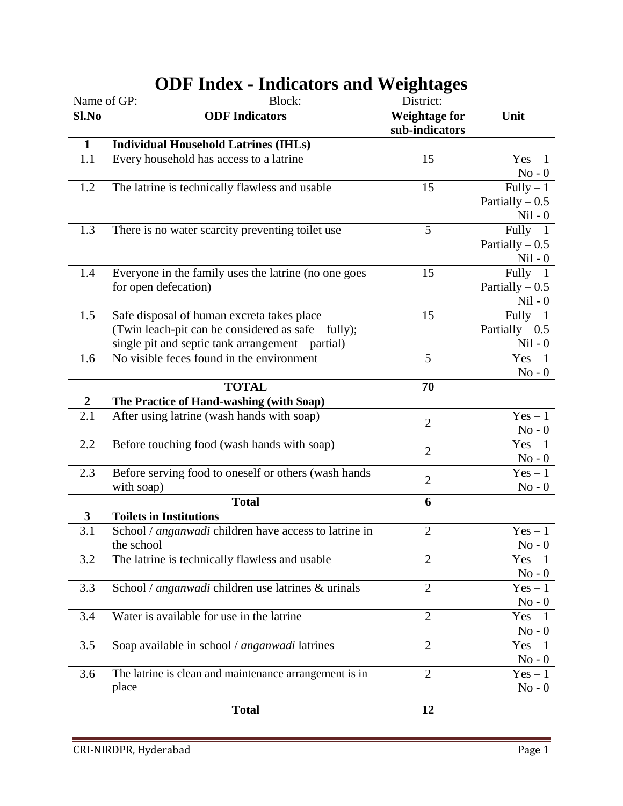| Name of GP:      | Block:                                                 | District:            |                     |
|------------------|--------------------------------------------------------|----------------------|---------------------|
| Sl.No            | <b>ODF</b> Indicators                                  | <b>Weightage for</b> | Unit                |
|                  |                                                        | sub-indicators       |                     |
| $\mathbf{1}$     | <b>Individual Household Latrines (IHLs)</b>            |                      |                     |
| 1.1              | Every household has access to a latrine                | 15                   | $Yes - 1$           |
|                  |                                                        |                      | $No - 0$            |
| 1.2              | The latrine is technically flawless and usable         | 15                   | $Fully - 1$         |
|                  |                                                        |                      | Partially $-0.5$    |
|                  |                                                        |                      | $Nil - 0$           |
| 1.3              | There is no water scarcity preventing toilet use       | 5                    | $Fully - 1$         |
|                  |                                                        |                      | Partially $-0.5$    |
|                  |                                                        |                      | $Nil - 0$           |
| 1.4              | Everyone in the family uses the latrine (no one goes   | 15                   | $Fully-1$           |
|                  | for open defecation)                                   |                      | Partially $-0.5$    |
|                  |                                                        |                      | $Nil - 0$           |
| 1.5              | Safe disposal of human excreta takes place             | 15                   | $Fully - 1$         |
|                  | (Twin leach-pit can be considered as safe – fully);    |                      | Partially $-0.5$    |
|                  | single pit and septic tank arrangement – partial)      |                      | $Nil - 0$           |
| 1.6              | No visible feces found in the environment              | 5                    | $Yes - 1$           |
|                  |                                                        |                      | $No - 0$            |
|                  | <b>TOTAL</b>                                           | 70                   |                     |
| $\boldsymbol{2}$ | The Practice of Hand-washing (with Soap)               |                      |                     |
| 2.1              | After using latrine (wash hands with soap)             |                      | $Yes - 1$           |
|                  |                                                        | $\overline{2}$       | $\mathrm{No}$ - $0$ |
| 2.2              | Before touching food (wash hands with soap)            |                      | $Yes - 1$           |
|                  |                                                        | $\overline{2}$       | $No - 0$            |
| 2.3              | Before serving food to oneself or others (wash hands   |                      | $Yes - 1$           |
|                  | with soap)                                             | $\overline{2}$       | $No - 0$            |
|                  | <b>Total</b>                                           | 6                    |                     |
| $\mathbf{3}$     | <b>Toilets in Institutions</b>                         |                      |                     |
| 3.1              | School / anganwadi children have access to latrine in  | $\overline{2}$       | $Yes - 1$           |
|                  | the school                                             |                      | $No - 0$            |
| 3.2              | The latrine is technically flawless and usable         | $\overline{2}$       | $Yes - 1$           |
|                  |                                                        |                      | $No - 0$            |
| 3.3              | School / anganwadi children use latrines & urinals     | $\overline{2}$       | $Yes - 1$           |
|                  |                                                        |                      | $No - 0$            |
| 3.4              | Water is available for use in the latrine              | $\overline{2}$       | $Yes - 1$           |
|                  |                                                        |                      | $No - 0$            |
| 3.5              | Soap available in school / anganwadi latrines          | $\overline{2}$       | $Yes - 1$           |
|                  |                                                        |                      | $No - 0$            |
| 3.6              | The latrine is clean and maintenance arrangement is in | $\overline{2}$       | $Yes - 1$           |
|                  | place                                                  |                      | $No - 0$            |
|                  |                                                        |                      |                     |
|                  | <b>Total</b>                                           | 12                   |                     |